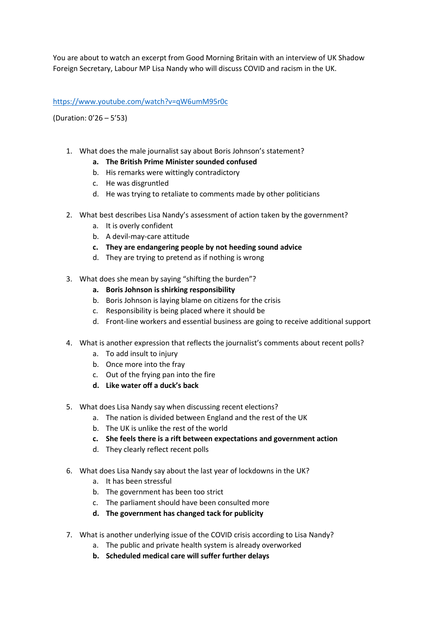You are about to watch an excerpt from Good Morning Britain with an interview of UK Shadow Foreign Secretary, Labour MP Lisa Nandy who will discuss COVID and racism in the UK.

## <https://www.youtube.com/watch?v=qW6umM95r0c>

(Duration: 0'26 – 5'53)

- 1. What does the male journalist say about Boris Johnson's statement?
	- **a. The British Prime Minister sounded confused**
	- b. His remarks were wittingly contradictory
	- c. He was disgruntled
	- d. He was trying to retaliate to comments made by other politicians
- 2. What best describes Lisa Nandy's assessment of action taken by the government?
	- a. It is overly confident
	- b. A devil-may-care attitude
	- **c. They are endangering people by not heeding sound advice**
	- d. They are trying to pretend as if nothing is wrong
- 3. What does she mean by saying "shifting the burden"?
	- **a. Boris Johnson is shirking responsibility**
	- b. Boris Johnson is laying blame on citizens for the crisis
	- c. Responsibility is being placed where it should be
	- d. Front-line workers and essential business are going to receive additional support
- 4. What is another expression that reflects the journalist's comments about recent polls?
	- a. To add insult to injury
	- b. Once more into the fray
	- c. Out of the frying pan into the fire
	- **d. Like water off a duck's back**
- 5. What does Lisa Nandy say when discussing recent elections?
	- a. The nation is divided between England and the rest of the UK
	- b. The UK is unlike the rest of the world
	- **c. She feels there is a rift between expectations and government action**
	- d. They clearly reflect recent polls
- 6. What does Lisa Nandy say about the last year of lockdowns in the UK?
	- a. It has been stressful
	- b. The government has been too strict
	- c. The parliament should have been consulted more
	- **d. The government has changed tack for publicity**
- 7. What is another underlying issue of the COVID crisis according to Lisa Nandy?
	- a. The public and private health system is already overworked
	- **b. Scheduled medical care will suffer further delays**